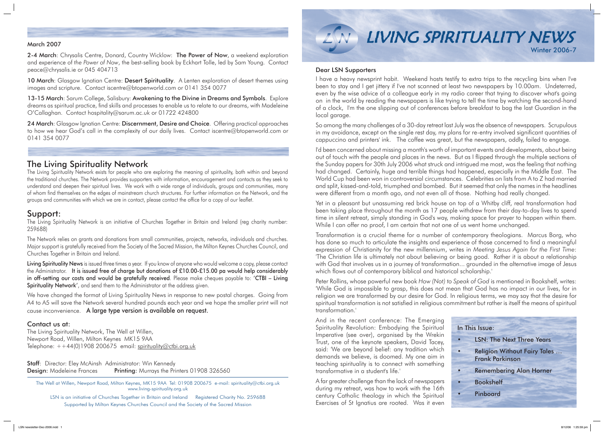# LIVING SPIRITUALITY NEWS Winter 2006-7

The Well at Willen, Newport Road, Milton Keynes, MK15 9AA Tel: 01908 200675 e-mail: spirituality@ctbi.org.uk www.living-spirituality.org.uk

LSN is an initiative of Churches Together in Britain and Ireland Registered Charity No. 259688 Supported by Milton Keynes Churches Council and the Society of the Sacred Mission



### The Living Spirituality Network

The Living Spirituality Network exists for people who are exploring the meaning of spirituality, both within and beyond the traditional churches. The Network provides supporters with information, encouragement and contacts as they seek to understand and deepen their spiritual lives. We work with a wide range of individuals, groups and communities, many of whom find themselves on the edges of mainstream church structures. For further information on the Network, and the groups and communities with which we are in contact, please contact the office for a copy of our leaflet.

### Support:

The Living Spirituality Network is an initiative of Churches Together in Britain and Ireland (reg charity number: 259688)

The Living Spirituality Network, The Well at Willen, Newport Road, Willen, Milton Keynes MK15 9AA Telephone:  $++44(0)1908200675$  email: spirituality@ctbi.org.uk

Staff: Director: Eley McAinsh Administrator: Win Kennedy **Design:** Madeleine Frances Printing: Murrays the Printers 01908 326560 I have a heavy newsprint habit. Weekend hosts testify to extra trips to the recycling bins when I've been to stay and I get jittery if I've not scanned at least two newspapers by 10.00am. Undeterred, even by the wise advice of a colleague early in my radio career that trying to discover what's going on in the world by reading the newspapers is like trying to tell the time by watching the second-hand of a clock, I'm the one slipping out of conferences before breakfast to bag the last Guardian in the local garage.

The Network relies on grants and donations from small communities, projects, networks, individuals and churches. Major support is gratefully received from the Society of the Sacred Mission, the Milton Keynes Churches Council, and Churches Together in Britain and Ireland.

Living Spirituality News is issued three times a year. If you know of anyone who would welcome a copy, please contact the Administrator. It is issued free of charge but donations of £10.00-£15.00 pa would help considerably in off-setting our costs and would be gratefully received. Please make cheques payable to: 'CTBI – Living Spirituality Network', and send them to the Administrator at the address given.

We have changed the format of Living Spirituality News in response to new postal charges. Going from A4 to A5 will save the Network several hundred pounds each year and we hope the smaller print will not cause inconvenience. A large type version is available on request.

Yet in a pleasant but unassuming red brick house on top of a Whitby cliff, real transformation had been taking place throughout the month as 17 people withdrew from their day-to-day lives to spend time in silent retreat, simply standing in God's way, making space for prayer to happen within them. While I can offer no proof, I am certain that not one of us went home unchanged.

#### Contact us at:

Transformation is a crucial theme for a number of contemporary theologians. Marcus Borg, who has done so much to articulate the insights and experience of those concerned to find a meaningful expression of Christianity for the new millennium, writes in *Meeting Jesus Again for the First Time*: 'The Christian life is ultimately not about believing or being good. Rather it is about a relationship with God that involves us in a journey of transformation... grounded in the alternative image of Jesus which flows out of contemporary biblical and historical scholarship.'

#### Dear LSN Supporters

And in the recent conference: The Emerging Spirituality Revolution: Embodying the Spiritu Imperative (see over), organised by the Wrek Trust, one of the keynote speakers, David Tace said: 'We are beyond belief: any tradition which demands we believe, is doomed. My one aim teaching spirituality is to connect with something transformative in a student's life.'

A far greater challenge than the lack of newspape during my retreat, was how to work with the 16th century Catholic theology in which the Spiritu Exercises of St Ignatius are rooted. Was it even

So among the many challenges of a 30-day retreat last July was the absence of newspapers. Scrupulous in my avoidance, except on the single rest day, my plans for re-entry involved significant quantities of cappuccino and printers' ink. The coffee was great, but the newspapers, oddly, failed to engage.

2-4 March: Chrysalis Centre, Donard, Country Wicklow: The Power of Now, a weekend exploration and experience of *the Power of Now*, the best-selling book by Eckhart Tolle, led by Sam Young. Contact peace@chrysalis.ie or 045 404713

10 March: Glasgow Ignatian Centre: Desert Spirituality. A Lenten exploration of desert themes using images and scripture. Contact iscentre@btopenworld.com or 0141 354 0077

13-15 March: Sarum College, Salisbury: Awakening to the Divine in Dreams and Symbols. Explore dreams as spiritual practice, find skills and processes to enable us to relate to our dreams, with Madeleine O'Callaghan. Contact hospitality@sarum.ac.uk or 01722 424800

24 March: Glasgow Ignatian Centre: Discernment, Desire and Choice. Offering practical approaches to how we hear God's call in the complexity of our daily lives. Contact iscentre@btopenworld.com or 0141 354 0077

> I'd been concerned about missing a month's worth of important events and developments, about being out of touch with the people and places in the news. But as I flipped through the multiple sections of the Sunday papers for 30th July 2006 what struck and intrigued me most, was the feeling that nothing had changed. Certainly, huge and terrible things had happened, especially in the Middle East. The World Cup had been won in controversial circumstances. Celebrities on lists from A to Z had married and split, kissed-and-told, triumphed and bombed. But it seemed that only the names in the headlines were different from a month ago, and not even all of those. Nothing had really changed.

> Peter Rollins, whose powerful new book *How (Not) to Speak of God* is mentioned in Bookshelf, writes: 'While God is impossible to grasp, this does not mean that God has no impact in our lives, for in religion we are transformed by our desire for God. In religious terms, we may say that the desire for spiritual transformation is not satisfied in religious commitment but rather is itself the means of spiritual transformation.'

#### March 2007

| ٦g<br>ıal             | In This Issue:                                                 |
|-----------------------|----------------------------------------------------------------|
| .in                   |                                                                |
| эy,<br>ch<br>in<br>ng | <b>LSN: The Next Three Years</b>                               |
|                       | <b>Religion Without Fairy Tales </b><br><b>Frank Parkinson</b> |
|                       | <b>Remembering Alan Horner</b>                                 |
| ers<br>ith<br>ıal     | <b>Bookshelf</b>                                               |
|                       | Pinboard                                                       |
| en                    |                                                                |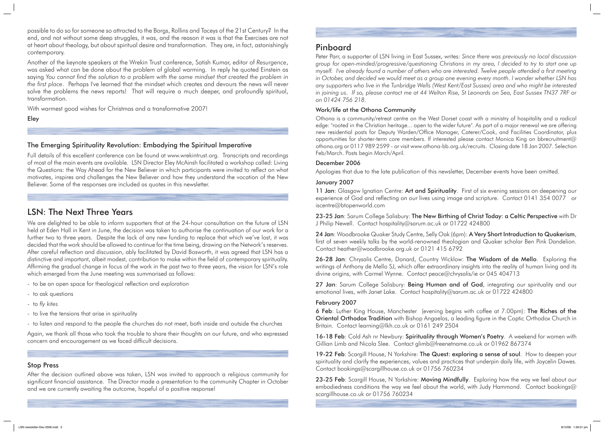### Pinboard

Peter Parr, a supporter of LSN living in East Sussex, writes: *Since there was previously no local discussion group for open-minded/progressive/questioning Christians in my area, I decided to try to start one up myself. I've already found a number of others who are interested. Twelve people attended a first meeting in October, and decided we would meet as a group one evening every month. I wonder whether LSN has any supporters who live in the Tunbridge Wells (West Kent/East Sussex) area and who might be interested in joining us*. *If so, please contact me at 44 Welton Rise, St Leonards on Sea, East Sussex TN37 7RF or on 01424 756 218.*

#### Work/life at the Othona Community

11 Jan: Glasgow Ignatian Centre: Art and Spirituality. First of six evening sessions on deepening our experience of God and reflecting on our lives using image and scripture. Contact 0141 354 0077 or iscentre@btopenworld.com

23-25 Jan: Sarum College Salisbury: The New Birthing of Christ Today: a Celtic Perspective with Dr J Philip Newell. Contact hospitality@sarum.ac.uk or 01722 424800

Othona is a community/retreat centre on the West Dorset coast with a ministry of hospitality and a radical edge: "rooted in the Christian heritage... open to the wider future". As part of a major renewal we are offering new residential posts for Deputy Warden/Office Manager, Caterer/Cook, and Facilities Coordinator, plus opportunities for shorter-term core members. If interested please contact Monica King on bbrecruitment@ othona.org or 0117 989 2599 - or visit www.othona-bb.org.uk/recruits. Closing date 18 Jan 2007. Selection Feb/March. Posts begin March/April.

24 Jan: Woodbrooke Quaker Study Centre, Selly Oak (6pm): A Very Short Introduction to Quakerism, first of seven weekly talks by the world-renowned theologian and Quaker scholar Ben Pink Dandelion. Contact heather@woodbrooke.org.uk or 0121 415 6792

27 Jan: Sarum College Salisbury: Being Human and of God, integrating our spirituality and our emotional lives, with Janet Lake. Contact hospitality@sarum.ac.uk or 01722 424800

#### December 2006

Apologies that due to the late publication of this newsletter, December events have been omitted.

#### January 2007

16-18 Feb: Cold Ash nr Newbury: Spirituality through Women's Poetry. A weekend for women with Gillian Limb and Nicola Slee. Contact glimb@freenetname.co.uk or 01962 867374

19-22 Feb: Scargill House, N Yorkshire: The Quest: exploring a sense of soul. How to deepen your spirituality and clarify the experiences, values and practices that underpin daily life, with Joycelin Dawes. Contact bookings@scargillhouse.co.uk or 01756 760234

23-25 Feb: Scargill House, N Yorkshire: Moving Mindfully. Exploring how the way we feel about our embodiedness conditions the way we feel about the world, with Judy Hammond. Contact bookings@ scargillhouse.co.uk or 01756 760234

26-28 Jan: Chrysalis Centre, Donard, Country Wicklow: The Wisdom of de Mello. Exploring the writings of Anthony de Mello SJ, which offer extraordinary insights into the reality of human living and its divine origins, with Carmel Wynne. Contact peace@chrysalis/ie or 045 404713

#### February 2007

6 Feb: Luther King House, Manchester (evening begins with coffee at 7.00pm): The Riches of the Oriental Orthodox Tradition with Bishop Angaelos, a leading figure in the Coptic Orthodox Church in Britain. Contact learning@lkh.co.uk or 0161 249 2504

### LSN: The Next Three Years

We are delighted to be able to inform supporters that at the 24-hour consultation on the future of LSN held at Eden Hall in Kent in June, the decision was taken to authorise the continuation of our work for a further two to three years. Despite the lack of any new funding to replace that which we've lost, it was decided that the work should be allowed to continue for the time being, drawing on the Network's reserves. After careful reflection and discussion, ably facilitated by David Bosworth, it was agreed that LSN has a distinctive and important, albeit modest, contribution to make within the field of contemporary spirituality. Affirming the gradual change in focus of the work in the past two to three years, the vision for LSN's role which emerged from the June meeting was summarised as follows:

- to be an open space for theological reflection and *exploration*
- to ask questions
- to *fly kites*
- to live the tensions that arise in spirituality
- to listen and respond to the people the churches do not meet, both inside and outside the churches

Again, we thank all those who took the trouble to share their thoughts on our future, and who expressed concern and encouragement as we faced difficult decisions.

#### Stop Press

After the decision outlined above was taken, LSN was invited to approach a religious community for significant financial assistance. The Director made a presentation to the community Chapter in October and we are currently awaiting the outcome, hopeful of a positive response!

#### The Emerging Spirituality Revolution: Embodying the Spiritual Imperative

Full details of this excellent conference can be found at www.wrekintrust.org. Transcripts and recordings of most of the main events are available. LSN Director Eley McAinsh facilitated a workshop called: Living the Questions: the Way Ahead for the New Believer in which participants were invited to reflect on what motivates, inspires and challenges the New Believer and how they understand the vocation of the New Believer. Some of the responses are included as quotes in this newsletter.

possible to do so for someone so attracted to the Borgs, Rollins and Taceys of the 21st Century? In the end, and not without some deep struggles, it was, and the reason it was is that the Exercises are not at heart about theology, but about spiritual desire and transformation. They are, in fact, astonishingly contemporary.

Another of the keynote speakers at the Wrekin Trust conference, Satish Kumar, editor of *Resurgence*, was asked what can be done about the problem of global warming. In reply he quoted Einstein as saying *You cannot find the solution to a problem with the same mindset that created the problem in the first place*. Perhaps I've learned that the mindset which creates and devours the news will never solve the problems the news reports! That will require a much deeper, and profoundly spiritual, transformation.

With warmest good wishes for Christmas and a transformative 2007!

Eley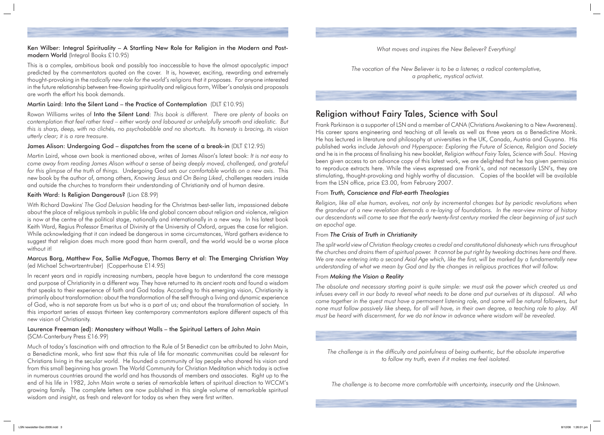## Religion without Fairy Tales, Science with Soul

Frank Parkinson is a supporter of LSN and a member of CANA (Christians Awakening to a New Awareness). His career spans engineering and teaching at all levels as well as three years as a Benedictine Monk. He has lectured in literature and philosophy at universities in the UK, Canada, Austria and Guyana. His published works include *Jehovah and Hyperspace: Exploring the Future of Science, Religion and Society*  and he is in the process of finalising his new booklet, *Religion without Fairy Tales, Science with Soul*. Having been given access to an advance copy of this latest work, we are delighted that he has given permission to reproduce extracts here. While the views expressed are Frank's, and not necessarily LSN's, they are stimulating, thought-provoking and highly worthy of discussion. Copies of the booklet will be available from the LSN office, price £3.00, from February 2007.

#### From *Truth, Conscience and Flat-earth Theologies*

*Religion, like all else human, evolves, not only by incremental changes but by periodic revolutions when the grandeur of a new revelation demands a re-laying of foundations. In the rear-view mirror of history our descendants will come to see that the early twenty-first century marked the clear beginning of just such an epochal age.*

#### From *The Crisis of Truth in Christianity*

*The split world view of Christian theology creates a credal and constitutional dishonesty which runs throughout the churches and drains them of spiritual power. It cannot be put right by tweaking doctrines here and there. We are now entering into a second Axial Age which, like the first, will be marked by a fundamentally new understanding of what we mean by God and by the changes in religious practices that will follow.*

#### From *Making the Vision a Reality*

With Richard Dawkins' *The God Delusion* heading for the Christmas best-seller lists, impassioned debate about the place of religious symbols in public life and global concern about religion and violence, religion is now at the centre of the political stage, nationally and internationally in a new way. In his latest book Keith Ward, Regius Professor Emeritus of Divinity at the University of Oxford, argues the case for religion. While acknowledging that it can indeed be dangerous in some circumstances, Ward gathers evidence to suggest that religion does much more good than harm overall, and the world would be a worse place without it!

> *The absolute and necessary starting point is quite simple: we must ask the power which created us and infuses every cell in our body to reveal what needs to be done and put ourselves at its disposal. All who come together in the quest must have a permanent listening role, and some will be natural followers, but none must follow passively like sheep, for all will have, in their own degree, a teaching role to play. All must be heard with discernment, for we do not know in advance where wisdom will be revealed.*

#### Ken Wilber: Integral Spirituality – A Startling New Role for Religion in the Modern and Postmodern World (Integral Books £10.95)

This is a complex, ambitious book and possibly too inaccessible to have the almost apocalyptic impact predicted by the commentators quoted on the cover. It is, however, exciting, rewarding and extremely thought-provoking in the *radically new role for the world's religions* that it proposes. For anyone interested in the future relationship between free-flowing spirituality and religious form, Wilber's analysis and proposals are worth the effort his book demands.

#### Martin Laird: Into the Silent Land – the Practice of Contemplation (DLT £10.95)

Rowan Williams writes of Into the Silent Land: *This book is different. There are plenty of books on contemplation that feel rather tired – either wordy and laboured or unhelpfully smooth and idealistic. But this is sharp, deep, with no clichés, no psychobabble and no shortcuts. Its honesty is bracing, its vision utterly clear; it is a rare treasure.*

#### James Alison: Undergoing God – dispatches from the scene of a break-in (DLT £12.95)

Martin Laird, whose own book is mentioned above, writes of James Alison's latest book: *It is not easy to come away from reading James Alison without a sense of being deeply moved, challenged, and grateful for this glimpse of the truth of things.* Undergoing God *sets our comfortable worlds on a new axis*. This new book by the author of, among others, *Knowing Jesus* and *On Being Liked*, challenges readers inside and outside the churches to transform their understanding of Christianity and of human desire.

#### Keith Ward: Is Religion Dangerous? (Lion £8.99)

#### Marcus Borg, Matthew Fox, Sallie McFague, Thomas Berry et al: The Emerging Christian Way (ed Michael Schwartzentruber) (Copperhouse £14.95)

In recent years and in rapidly increasing numbers, people have begun to understand the core message and purpose of Christianity in a different way. They have returned to its ancient roots and found a wisdom that speaks to their experience of faith and God today. According to this emerging vision, Christianity is primarily about transformation: about the transformation of the self through a living and dynamic experience of God, who is not separate from us but who is a part of us; and about the transformation of society. In this important series of essays thirteen key contemporary commentators explore different aspects of this new vision of Christianity.

#### Laurence Freeman (ed): Monastery without Walls – the Spiritual Letters of John Main (SCM-Canterbury Press £16.99)

Much of today's fascination with and attraction to the Rule of St Benedict can be attributed to John Main, a Benedictine monk, who first saw that this rule of life for monastic communities could be relevant for Christians living in the secular world. He founded a community of lay people who shared his vision and from this small beginning has grown The World Community for Christian Meditation which today is active in numerous countries around the world and has thousands of members and associates. Right up to the end of his life in 1982, John Main wrote a series of remarkable letters of spiritual direction to WCCM's growing family. The complete letters are now published in this single volume of remarkable spiritual wisdom and insight, as fresh and relevant for today as when they were first written.

*What moves and inspires the New Believer? Everything!*

*The vocation of the New Believer is to be a listener, a radical contemplative, a prophetic, mystical activist.*

*The challenge is in the difficulty and painfulness of being authentic, but the absolute imperative to follow my truth, even if it makes me feel isolated.*

*The challenge is to become more comfortable with uncertainty, insecurity and the Unknown.*